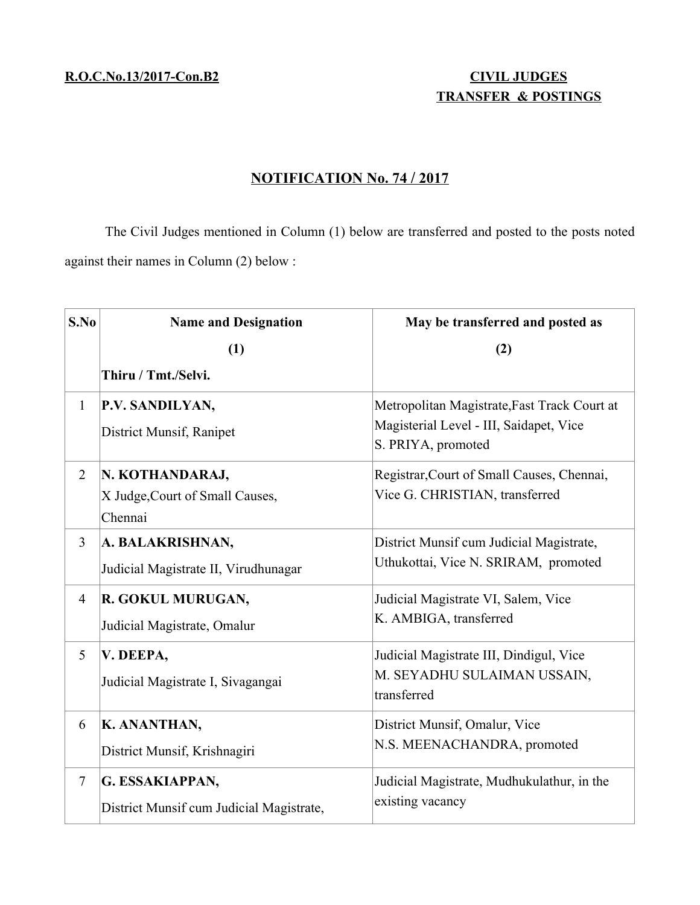# **TRANSFER & POSTINGS**

## **N OTIFICATION No. 74 / 2017**

The Civil Judges mentioned in Column (1) below are transferred and posted to the posts noted against their names in Column (2) below :

| S.No           | <b>Name and Designation</b>                                   | May be transferred and posted as                                                                              |
|----------------|---------------------------------------------------------------|---------------------------------------------------------------------------------------------------------------|
|                | (1)                                                           | (2)                                                                                                           |
|                | Thiru / Tmt./Selvi.                                           |                                                                                                               |
| $\mathbf{1}$   | P.V. SANDILYAN,<br>District Munsif, Ranipet                   | Metropolitan Magistrate, Fast Track Court at<br>Magisterial Level - III, Saidapet, Vice<br>S. PRIYA, promoted |
| $\overline{2}$ | N. KOTHANDARAJ,<br>X Judge, Court of Small Causes,<br>Chennai | Registrar, Court of Small Causes, Chennai,<br>Vice G. CHRISTIAN, transferred                                  |
| $\overline{3}$ | A. BALAKRISHNAN,<br>Judicial Magistrate II, Virudhunagar      | District Munsif cum Judicial Magistrate,<br>Uthukottai, Vice N. SRIRAM, promoted                              |
| $\overline{4}$ | R. GOKUL MURUGAN,<br>Judicial Magistrate, Omalur              | Judicial Magistrate VI, Salem, Vice<br>K. AMBIGA, transferred                                                 |
| 5              | V. DEEPA,<br>Judicial Magistrate I, Sivagangai                | Judicial Magistrate III, Dindigul, Vice<br>M. SEYADHU SULAIMAN USSAIN,<br>transferred                         |
| 6              | K. ANANTHAN,<br>District Munsif, Krishnagiri                  | District Munsif, Omalur, Vice<br>N.S. MEENACHANDRA, promoted                                                  |
| $\tau$         | G. ESSAKIAPPAN,<br>District Munsif cum Judicial Magistrate,   | Judicial Magistrate, Mudhukulathur, in the<br>existing vacancy                                                |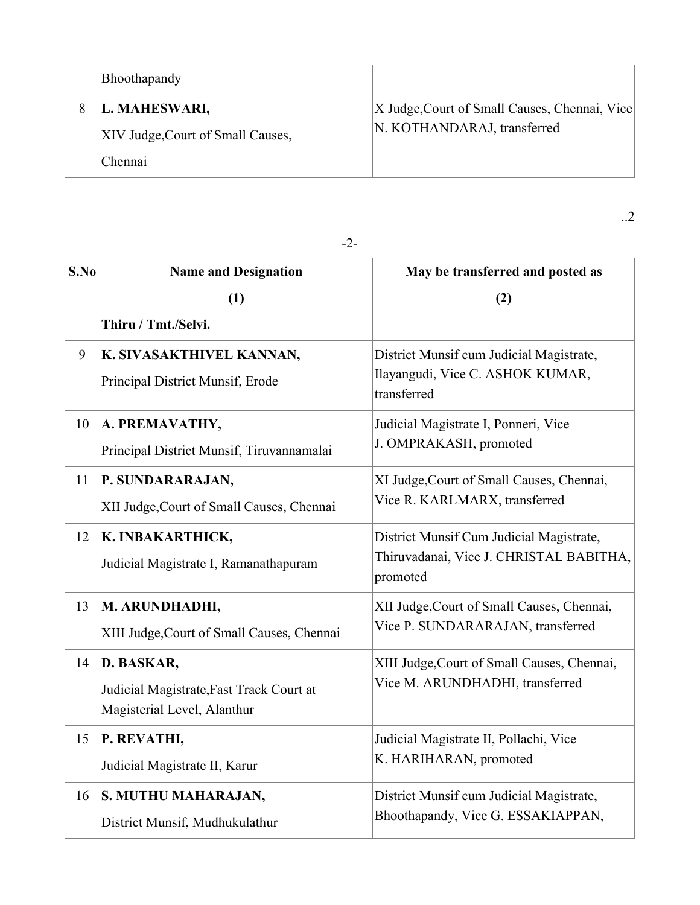| Bhoothapandy                      |                                               |
|-----------------------------------|-----------------------------------------------|
| L. MAHESWARI,                     | X Judge, Court of Small Causes, Chennai, Vice |
| XIV Judge, Court of Small Causes, | N. KOTHANDARAJ, transferred                   |
| Chennai                           |                                               |

**S.No Name and Designation (1) Thiru / Tmt./Selvi. May be transferred and posted as (2)** 9 **K. SIVASAKTHIVEL KANNAN,** Principal District Munsif, Erode District Munsif cum Judicial Magistrate, Ilayangudi, Vice C. ASHOK KUMAR, transferred 10 **A. PREMAVATHY,** Principal District Munsif, Tiruvannamalai Judicial Magistrate I, Ponneri, Vice J. OMPRAKASH, promoted 11 **P. SUNDARARAJAN,** XII Judge,Court of Small Causes, Chennai XI Judge,Court of Small Causes, Chennai, Vice R. KARLMARX, transferred 12 **K. INBAKARTHICK,** Judicial Magistrate I, Ramanathapuram District Munsif Cum Judicial Magistrate, Thiruvadanai, Vice J. CHRISTAL BABITHA, promoted 13 **M. ARUNDHADHI,** XIII Judge,Court of Small Causes, Chennai XII Judge,Court of Small Causes, Chennai, Vice P. SUNDARARAJAN, transferred 14 **D. BASKAR,** Judicial Magistrate,Fast Track Court at Magisterial Level, Alanthur XIII Judge,Court of Small Causes, Chennai, Vice M. ARUNDHADHI, transferred 15 **P. REVATHI,** Judicial Magistrate II, Karur Judicial Magistrate II, Pollachi, Vice K. HARIHARAN, promoted 16 **S. MUTHU MAHARAJAN,** District Munsif, Mudhukulathur District Munsif cum Judicial Magistrate, Bhoothapandy, Vice G. ESSAKIAPPAN,

-2-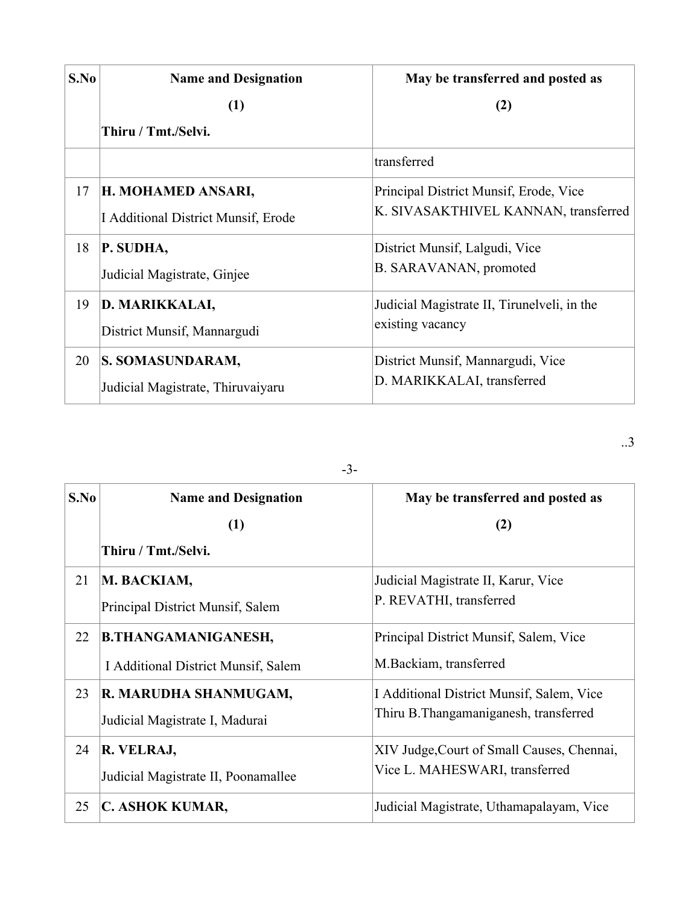| S.No | <b>Name and Designation</b>         | May be transferred and posted as            |
|------|-------------------------------------|---------------------------------------------|
|      | (1)                                 | (2)                                         |
|      | Thiru / Tmt./Selvi.                 |                                             |
|      |                                     | transferred                                 |
| 17   | H. MOHAMED ANSARI,                  | Principal District Munsif, Erode, Vice      |
|      | I Additional District Munsif, Erode | K. SIVASAKTHIVEL KANNAN, transferred        |
| 18   | P. SUDHA,                           | District Munsif, Lalgudi, Vice              |
|      | Judicial Magistrate, Ginjee         | B. SARAVANAN, promoted                      |
| 19   | D. MARIKKALAI,                      | Judicial Magistrate II, Tirunelveli, in the |
|      | District Munsif, Mannargudi         | existing vacancy                            |
| 20   | S. SOMASUNDARAM,                    | District Munsif, Mannargudi, Vice           |
|      | Judicial Magistrate, Thiruvaiyaru   | D. MARIKKALAI, transferred                  |

| $-3-$ |                                     |                                            |
|-------|-------------------------------------|--------------------------------------------|
| S.No  | <b>Name and Designation</b>         | May be transferred and posted as           |
|       | (1)                                 | (2)                                        |
|       | Thiru / Tmt./Selvi.                 |                                            |
| 21    | M. BACKIAM,                         | Judicial Magistrate II, Karur, Vice        |
|       | Principal District Munsif, Salem    | P. REVATHI, transferred                    |
| 22    | <b>B.THANGAMANIGANESH,</b>          | Principal District Munsif, Salem, Vice     |
|       | I Additional District Munsif, Salem | M.Backiam, transferred                     |
| 23    | R. MARUDHA SHANMUGAM,               | I Additional District Munsif, Salem, Vice  |
|       | Judicial Magistrate I, Madurai      | Thiru B. Thangamaniganesh, transferred     |
| 24    | R. VELRAJ,                          | XIV Judge, Court of Small Causes, Chennai, |
|       | Judicial Magistrate II, Poonamallee | Vice L. MAHESWARI, transferred             |
| 25    | C. ASHOK KUMAR,                     | Judicial Magistrate, Uthamapalayam, Vice   |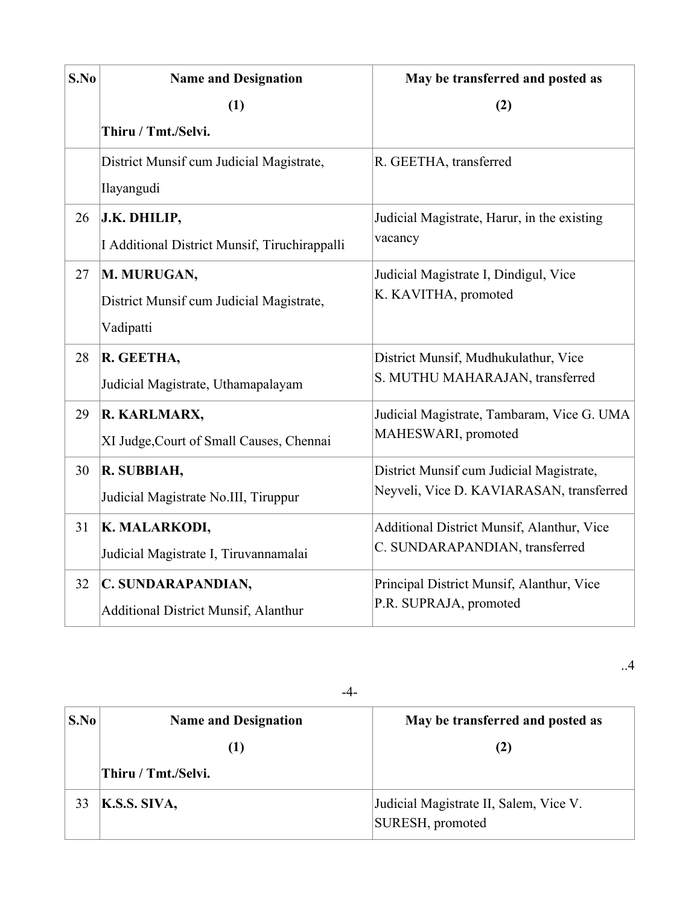| S.No | <b>Name and Designation</b>                   | May be transferred and posted as            |
|------|-----------------------------------------------|---------------------------------------------|
|      | (1)                                           | (2)                                         |
|      | Thiru / Tmt./Selvi.                           |                                             |
|      | District Munsif cum Judicial Magistrate,      | R. GEETHA, transferred                      |
|      | Ilayangudi                                    |                                             |
| 26   | J.K. DHILIP,                                  | Judicial Magistrate, Harur, in the existing |
|      | I Additional District Munsif, Tiruchirappalli | vacancy                                     |
| 27   | M. MURUGAN,                                   | Judicial Magistrate I, Dindigul, Vice       |
|      | District Munsif cum Judicial Magistrate,      | K. KAVITHA, promoted                        |
|      | Vadipatti                                     |                                             |
| 28   | R. GEETHA,                                    | District Munsif, Mudhukulathur, Vice        |
|      | Judicial Magistrate, Uthamapalayam            | S. MUTHU MAHARAJAN, transferred             |
| 29   | R. KARLMARX,                                  | Judicial Magistrate, Tambaram, Vice G. UMA  |
|      | XI Judge, Court of Small Causes, Chennai      | MAHESWARI, promoted                         |
| 30   | R. SUBBIAH,                                   | District Munsif cum Judicial Magistrate,    |
|      | Judicial Magistrate No.III, Tiruppur          | Neyveli, Vice D. KAVIARASAN, transferred    |
| 31   | K. MALARKODI,                                 | Additional District Munsif, Alanthur, Vice  |
|      | Judicial Magistrate I, Tiruvannamalai         | C. SUNDARAPANDIAN, transferred              |
| 32   | C. SUNDARAPANDIAN,                            | Principal District Munsif, Alanthur, Vice   |
|      | <b>Additional District Munsif, Alanthur</b>   | P.R. SUPRAJA, promoted                      |

-4-

| S.No | <b>Name and Designation</b> | May be transferred and posted as                           |
|------|-----------------------------|------------------------------------------------------------|
|      | $\left(1\right)$            | (2)                                                        |
|      | Thiru / Tmt./Selvi.         |                                                            |
| 33   | K.S.S. SIVA,                | Judicial Magistrate II, Salem, Vice V.<br>SURESH, promoted |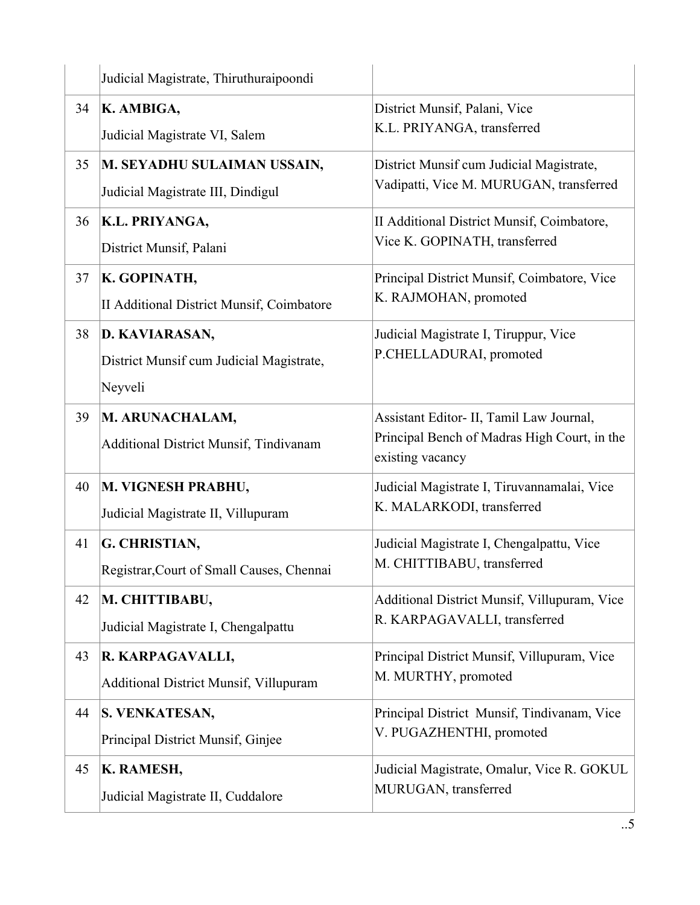|    | Judicial Magistrate, Thiruthuraipoondi        |                                                                  |
|----|-----------------------------------------------|------------------------------------------------------------------|
| 34 | K. AMBIGA,                                    | District Munsif, Palani, Vice                                    |
|    | Judicial Magistrate VI, Salem                 | K.L. PRIYANGA, transferred                                       |
| 35 | M. SEYADHU SULAIMAN USSAIN,                   | District Munsif cum Judicial Magistrate,                         |
|    | Judicial Magistrate III, Dindigul             | Vadipatti, Vice M. MURUGAN, transferred                          |
| 36 | K.L. PRIYANGA,                                | II Additional District Munsif, Coimbatore,                       |
|    | District Munsif, Palani                       | Vice K. GOPINATH, transferred                                    |
| 37 | K. GOPINATH,                                  | Principal District Munsif, Coimbatore, Vice                      |
|    | II Additional District Munsif, Coimbatore     | K. RAJMOHAN, promoted                                            |
| 38 | D. KAVIARASAN,                                | Judicial Magistrate I, Tiruppur, Vice                            |
|    | District Munsif cum Judicial Magistrate,      | P.CHELLADURAI, promoted                                          |
|    | Neyveli                                       |                                                                  |
| 39 | M. ARUNACHALAM,                               | Assistant Editor- II, Tamil Law Journal,                         |
|    | Additional District Munsif, Tindivanam        | Principal Bench of Madras High Court, in the<br>existing vacancy |
| 40 | M. VIGNESH PRABHU,                            | Judicial Magistrate I, Tiruvannamalai, Vice                      |
|    | Judicial Magistrate II, Villupuram            | K. MALARKODI, transferred                                        |
| 41 | G. CHRISTIAN,                                 | Judicial Magistrate I, Chengalpattu, Vice                        |
|    | Registrar, Court of Small Causes, Chennai     | M. CHITTIBABU, transferred                                       |
| 42 | M. CHITTIBABU,                                | <b>Additional District Munsif, Villupuram, Vice</b>              |
|    | Judicial Magistrate I, Chengalpattu           | R. KARPAGAVALLI, transferred                                     |
| 43 | R. KARPAGAVALLI,                              | Principal District Munsif, Villupuram, Vice                      |
|    | <b>Additional District Munsif, Villupuram</b> | M. MURTHY, promoted                                              |
| 44 | <b>S. VENKATESAN,</b>                         | Principal District Munsif, Tindivanam, Vice                      |
|    | Principal District Munsif, Ginjee             | V. PUGAZHENTHI, promoted                                         |
| 45 | K. RAMESH,                                    | Judicial Magistrate, Omalur, Vice R. GOKUL                       |
|    | Judicial Magistrate II, Cuddalore             | MURUGAN, transferred                                             |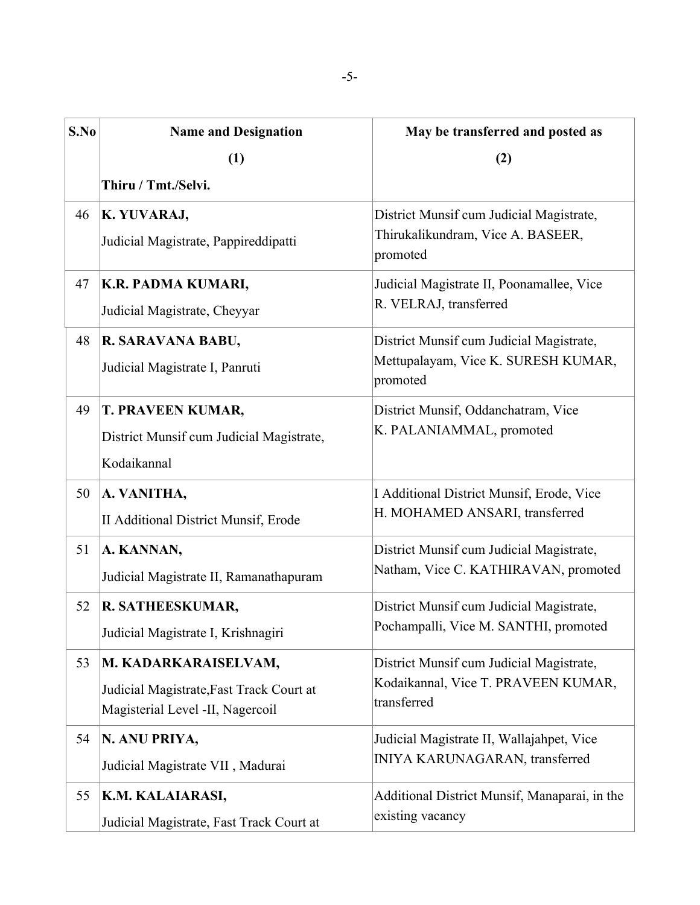| S.No | <b>Name and Designation</b>              | May be transferred and posted as                   |
|------|------------------------------------------|----------------------------------------------------|
|      | (1)                                      | (2)                                                |
|      | Thiru / Tmt./Selvi.                      |                                                    |
| 46   | K. YUVARAJ,                              | District Munsif cum Judicial Magistrate,           |
|      | Judicial Magistrate, Pappireddipatti     | Thirukalikundram, Vice A. BASEER,<br>promoted      |
| 47   | K.R. PADMA KUMARI,                       | Judicial Magistrate II, Poonamallee, Vice          |
|      | Judicial Magistrate, Cheyyar             | R. VELRAJ, transferred                             |
| 48   | R. SARAVANA BABU,                        | District Munsif cum Judicial Magistrate,           |
|      | Judicial Magistrate I, Panruti           | Mettupalayam, Vice K. SURESH KUMAR,<br>promoted    |
| 49   | <b>T. PRAVEEN KUMAR,</b>                 | District Munsif, Oddanchatram, Vice                |
|      | District Munsif cum Judicial Magistrate, | K. PALANIAMMAL, promoted                           |
|      | Kodaikannal                              |                                                    |
| 50   | A. VANITHA,                              | I Additional District Munsif, Erode, Vice          |
|      | II Additional District Munsif, Erode     | H. MOHAMED ANSARI, transferred                     |
| 51   | A. KANNAN,                               | District Munsif cum Judicial Magistrate,           |
|      | Judicial Magistrate II, Ramanathapuram   | Natham, Vice C. KATHIRAVAN, promoted               |
| 52   | R. SATHEESKUMAR,                         | District Munsif cum Judicial Magistrate,           |
|      | Judicial Magistrate I, Krishnagiri       | Pochampalli, Vice M. SANTHI, promoted              |
| 53   | M. KADARKARAISELVAM,                     | District Munsif cum Judicial Magistrate,           |
|      | Judicial Magistrate, Fast Track Court at | Kodaikannal, Vice T. PRAVEEN KUMAR,<br>transferred |
|      | Magisterial Level -II, Nagercoil         |                                                    |
| 54   | N. ANU PRIYA,                            | Judicial Magistrate II, Wallajahpet, Vice          |
|      | Judicial Magistrate VII, Madurai         | INIYA KARUNAGARAN, transferred                     |
| 55   | K.M. KALAIARASI,                         | Additional District Munsif, Manaparai, in the      |
|      | Judicial Magistrate, Fast Track Court at | existing vacancy                                   |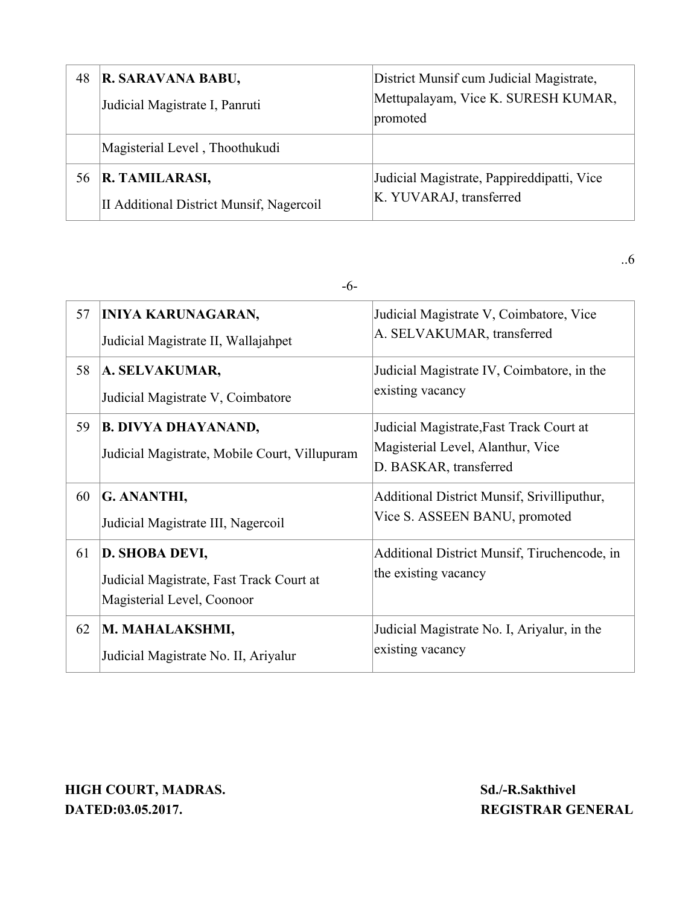| 48 | R. SARAVANA BABU,<br>Judicial Magistrate I, Panruti        | District Munsif cum Judicial Magistrate,<br>Mettupalayam, Vice K. SURESH KUMAR,<br>promoted |
|----|------------------------------------------------------------|---------------------------------------------------------------------------------------------|
|    | Magisterial Level, Thoothukudi                             |                                                                                             |
| 56 | R. TAMILARASI,<br>II Additional District Munsif, Nagercoil | Judicial Magistrate, Pappireddipatti, Vice<br>K. YUVARAJ, transferred                       |

-6-

| 57 | <b>INIYA KARUNAGARAN,</b><br>Judicial Magistrate II, Wallajahpet                         | Judicial Magistrate V, Coimbatore, Vice<br>A. SELVAKUMAR, transferred                                   |
|----|------------------------------------------------------------------------------------------|---------------------------------------------------------------------------------------------------------|
| 58 | A. SELVAKUMAR,<br>Judicial Magistrate V, Coimbatore                                      | Judicial Magistrate IV, Coimbatore, in the<br>existing vacancy                                          |
| 59 | <b>B. DIVYA DHAYANAND,</b><br>Judicial Magistrate, Mobile Court, Villupuram              | Judicial Magistrate, Fast Track Court at<br>Magisterial Level, Alanthur, Vice<br>D. BASKAR, transferred |
| 60 | G. ANANTHI,<br>Judicial Magistrate III, Nagercoil                                        | Additional District Munsif, Srivilliputhur,<br>Vice S. ASSEEN BANU, promoted                            |
| 61 | D. SHOBA DEVI,<br>Judicial Magistrate, Fast Track Court at<br>Magisterial Level, Coonoor | Additional District Munsif, Tiruchencode, in<br>the existing vacancy                                    |
| 62 | M. MAHALAKSHMI,<br>Judicial Magistrate No. II, Ariyalur                                  | Judicial Magistrate No. I, Ariyalur, in the<br>existing vacancy                                         |

**HIGH COURT, MADRAS.** Sd./-R.Sakthivel **DATED:03.05.2017. REGISTRAR GENERAL**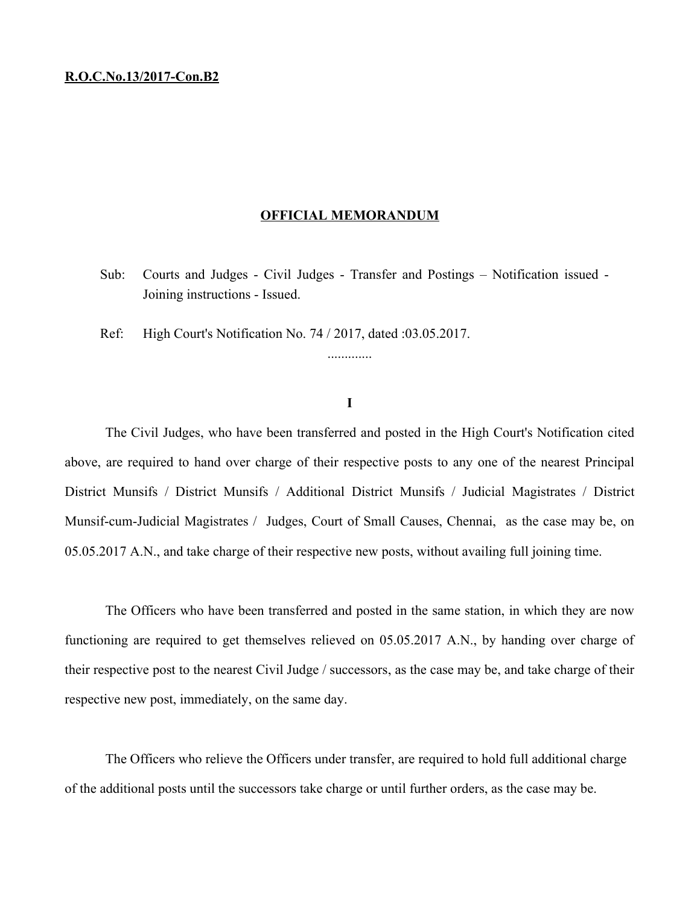#### **R.O.C.No.13/2017-Con.B2**

#### **OFFICIAL MEMORANDUM**

Sub: Courts and Judges - Civil Judges - Transfer and Postings – Notification issued - Joining instructions - Issued.

Ref: High Court's Notification No. 74 / 2017, dated :03.05.2017.

### **I**

.............

The Civil Judges, who have been transferred and posted in the High Court's Notification cited above, are required to hand over charge of their respective posts to any one of the nearest Principal District Munsifs / District Munsifs / Additional District Munsifs / Judicial Magistrates / District Munsif-cum-Judicial Magistrates / Judges, Court of Small Causes, Chennai, as the case may be, on 05.05.2017 A.N., and take charge of their respective new posts, without availing full joining time.

The Officers who have been transferred and posted in the same station, in which they are now functioning are required to get themselves relieved on 05.05.2017 A.N., by handing over charge of their respective post to the nearest Civil Judge / successors, as the case may be, and take charge of their respective new post, immediately, on the same day.

The Officers who relieve the Officers under transfer, are required to hold full additional charge of the additional posts until the successors take charge or until further orders, as the case may be.